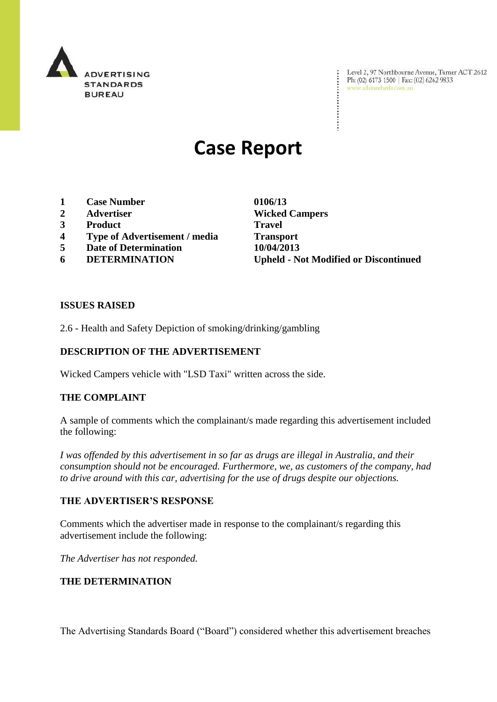

Level 2, 97 Northbourne Avenue, Turner ACT 2612<br>Ph: (02) 6173 1500 | Fax: (02) 6262 9833<br>www.adstandards.com.au

# **Case Report**

- **1 Case Number 0106/13**
- **2 Advertiser Wicked Campers**
- **3 Product Travel**
- **4 Type of Advertisement / media Transport**
- **5 Date of Determination 10/04/2013**
- 

**6 DETERMINATION Upheld - Not Modified or Discontinued**

#### **ISSUES RAISED**

2.6 - Health and Safety Depiction of smoking/drinking/gambling

## **DESCRIPTION OF THE ADVERTISEMENT**

Wicked Campers vehicle with "LSD Taxi" written across the side.

### **THE COMPLAINT**

A sample of comments which the complainant/s made regarding this advertisement included the following:

*I was offended by this advertisement in so far as drugs are illegal in Australia, and their consumption should not be encouraged. Furthermore, we, as customers of the company, had to drive around with this car, advertising for the use of drugs despite our objections.*

#### **THE ADVERTISER'S RESPONSE**

Comments which the advertiser made in response to the complainant/s regarding this advertisement include the following:

*The Advertiser has not responded.*

#### **THE DETERMINATION**

The Advertising Standards Board ("Board") considered whether this advertisement breaches